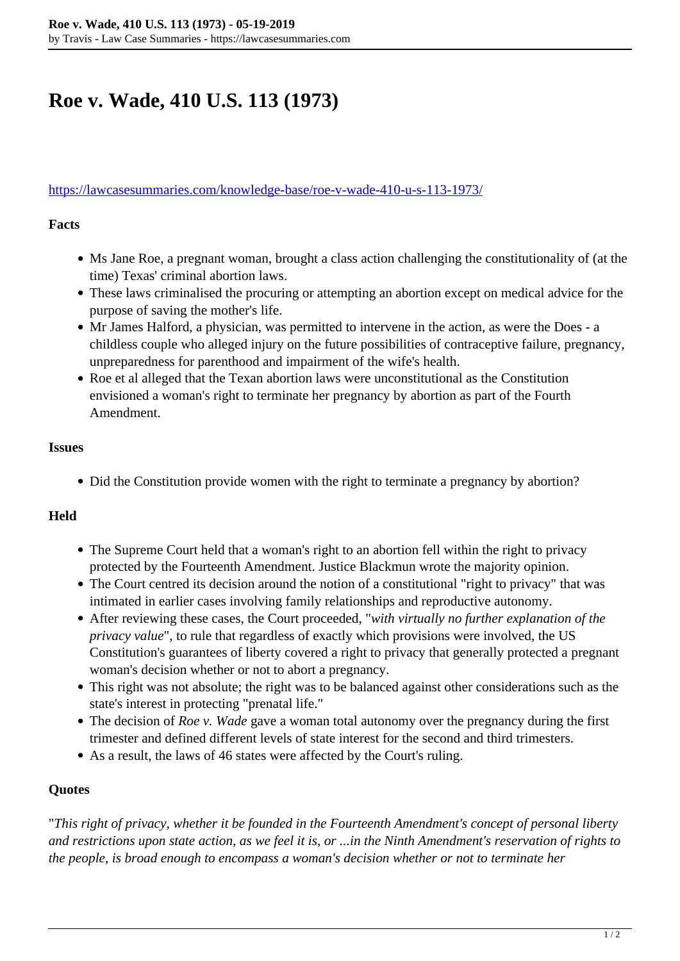# **Roe v. Wade, 410 U.S. 113 (1973)**

#### <https://lawcasesummaries.com/knowledge-base/roe-v-wade-410-u-s-113-1973/>

#### **Facts**

- Ms Jane Roe, a pregnant woman, brought a class action challenging the constitutionality of (at the time) Texas' criminal abortion laws.
- These laws criminalised the procuring or attempting an abortion except on medical advice for the purpose of saving the mother's life.
- Mr James Halford, a physician, was permitted to intervene in the action, as were the Does a childless couple who alleged injury on the future possibilities of contraceptive failure, pregnancy, unpreparedness for parenthood and impairment of the wife's health.
- Roe et al alleged that the Texan abortion laws were unconstitutional as the Constitution envisioned a woman's right to terminate her pregnancy by abortion as part of the Fourth Amendment.

### **Issues**

• Did the Constitution provide women with the right to terminate a pregnancy by abortion?

### **Held**

- The Supreme Court held that a woman's right to an abortion fell within the right to privacy protected by the Fourteenth Amendment. Justice Blackmun wrote the majority opinion.
- The Court centred its decision around the notion of a constitutional "right to privacy" that was intimated in earlier cases involving family relationships and reproductive autonomy.
- After reviewing these cases, the Court proceeded, "*with virtually no further explanation of the privacy value*", to rule that regardless of exactly which provisions were involved, the US Constitution's guarantees of liberty covered a right to privacy that generally protected a pregnant woman's decision whether or not to abort a pregnancy.
- This right was not absolute; the right was to be balanced against other considerations such as the state's interest in protecting "prenatal life."
- The decision of *Roe v. Wade* gave a woman total autonomy over the pregnancy during the first trimester and defined different levels of state interest for the second and third trimesters.
- As a result, the laws of 46 states were affected by the Court's ruling.

### **Quotes**

"*This right of privacy, whether it be founded in the Fourteenth Amendment's concept of personal liberty and restrictions upon state action, as we feel it is, or ...in the Ninth Amendment's reservation of rights to the people, is broad enough to encompass a woman's decision whether or not to terminate her*